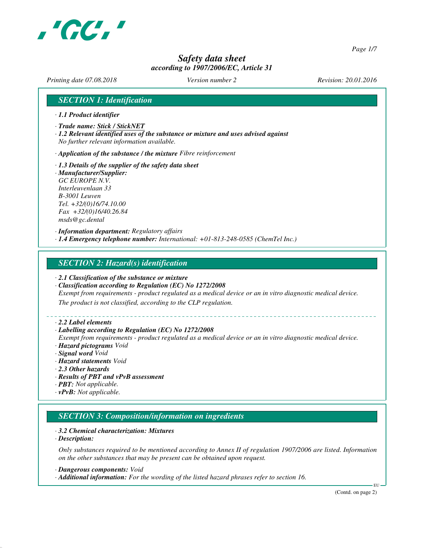

*Page 1/7*

# *Safety data sheet according to 1907/2006/EC, Article 31*

*Printing date 07.08.2018 Version number 2 Revision: 20.01.2016*

## *SECTION 1: Identification*

- *· 1.1 Product identifier*
- *· Trade name: Stick / StickNET*
- *· 1.2 Relevant identified uses of the substance or mixture and uses advised against No further relevant information available.*
- *· Application of the substance / the mixture Fibre reinforcement*
- *· 1.3 Details of the supplier of the safety data sheet · Manufacturer/Supplier:*
- *GC EUROPE N.V. Interleuvenlaan 33 B-3001 Leuven Tel. +32/(0)16/74.10.00 Fax +32/(0)16/40.26.84 msds@gc.dental*

*· Information department: Regulatory affairs · 1.4 Emergency telephone number: International: +01-813-248-0585 (ChemTel Inc.)*

### *SECTION 2: Hazard(s) identification*

- *· 2.1 Classification of the substance or mixture*
- *· Classification according to Regulation (EC) No 1272/2008*

*Exempt from requirements - product regulated as a medical device or an in vitro diagnostic medical device.*

*The product is not classified, according to the CLP regulation.*

#### *· 2.2 Label elements*

#### *· Labelling according to Regulation (EC) No 1272/2008*

*Exempt from requirements - product regulated as a medical device or an in vitro diagnostic medical device. · Hazard pictograms Void*

- *· Signal word Void*
- *· Hazard statements Void*
- *· 2.3 Other hazards*
- *· Results of PBT and vPvB assessment*
- *· PBT: Not applicable.*
- *· vPvB: Not applicable.*

# *SECTION 3: Composition/information on ingredients*

#### *· 3.2 Chemical characterization: Mixtures*

*· Description:*

*Only substances required to be mentioned according to Annex II of regulation 1907/2006 are listed. Information on the other substances that may be present can be obtained upon request.*

*· Dangerous components: Void*

*· Additional information: For the wording of the listed hazard phrases refer to section 16.*

(Contd. on page 2)

EU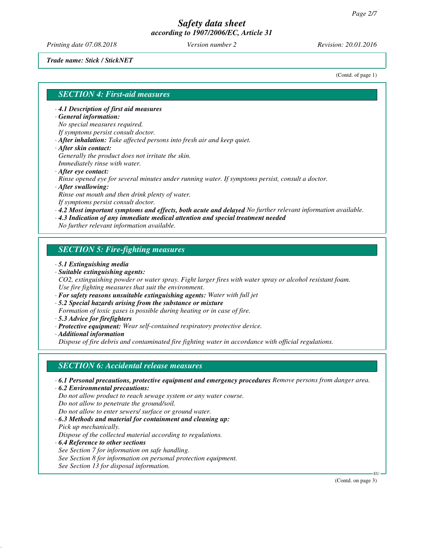*Printing date 07.08.2018 Version number 2 Revision: 20.01.2016*

*Trade name: Stick / StickNET*

(Contd. of page 1)

### *SECTION 4: First-aid measures*

*· 4.1 Description of first aid measures*

#### *· General information:*

*No special measures required.*

- *If symptoms persist consult doctor.*
- *· After inhalation: Take affected persons into fresh air and keep quiet.*
- *· After skin contact:*
- *Generally the product does not irritate the skin. Immediately rinse with water.*
- *· After eye contact:*

*Rinse opened eye for several minutes under running water. If symptoms persist, consult a doctor.*

*· After swallowing:*

*Rinse out mouth and then drink plenty of water. If symptoms persist consult doctor.*

*· 4.2 Most important symptoms and effects, both acute and delayed No further relevant information available.*

*· 4.3 Indication of any immediate medical attention and special treatment needed*

*No further relevant information available.*

## *SECTION 5: Fire-fighting measures*

- *· 5.1 Extinguishing media*
- *· Suitable extinguishing agents:*

*CO2, extinguishing powder or water spray. Fight larger fires with water spray or alcohol resistant foam. Use fire fighting measures that suit the environment.*

- *· For safety reasons unsuitable extinguishing agents: Water with full jet*
- *· 5.2 Special hazards arising from the substance or mixture*

*Formation of toxic gases is possible during heating or in case of fire.*

- *· 5.3 Advice for firefighters*
- *· Protective equipment: Wear self-contained respiratory protective device.*

*· Additional information*

*Dispose of fire debris and contaminated fire fighting water in accordance with official regulations.*

### *SECTION 6: Accidental release measures*

- *· 6.1 Personal precautions, protective equipment and emergency procedures Remove persons from danger area.*
- *· 6.2 Environmental precautions: Do not allow product to reach sewage system or any water course. Do not allow to penetrate the ground/soil.*
- *Do not allow to enter sewers/ surface or ground water.*
- *· 6.3 Methods and material for containment and cleaning up: Pick up mechanically.*

*Dispose of the collected material according to regulations.*

*· 6.4 Reference to other sections*

*See Section 7 for information on safe handling.*

*See Section 8 for information on personal protection equipment.*

*See Section 13 for disposal information.*

(Contd. on page 3)

EU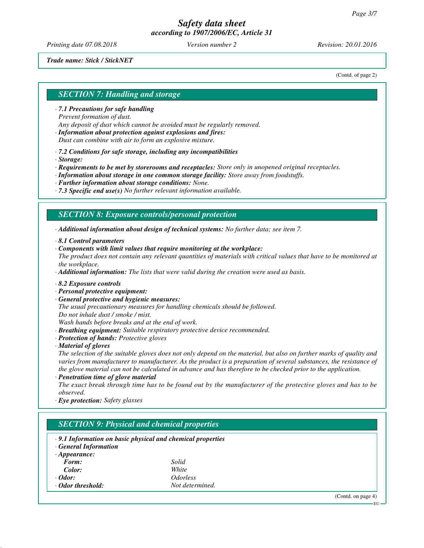*Printing date 07.08.2018 Version number 2 Revision: 20.01.2016*

#### *Trade name: Stick / StickNET*

(Contd. of page 2)

## *SECTION 7: Handling and storage*

*· 7.1 Precautions for safe handling Prevent formation of dust. Any deposit of dust which cannot be avoided must be regularly removed.*

*· Information about protection against explosions and fires: Dust can combine with air to form an explosive mixture.*

*· 7.2 Conditions for safe storage, including any incompatibilities*

*· Storage:*

*· Requirements to be met by storerooms and receptacles: Store only in unopened original receptacles.*

*· Information about storage in one common storage facility: Store away from foodstuffs.*

*· Further information about storage conditions: None.*

*· 7.3 Specific end use(s) No further relevant information available.*

### *SECTION 8: Exposure controls/personal protection*

*· Additional information about design of technical systems: No further data; see item 7.*

*· 8.1 Control parameters*

*· Components with limit values that require monitoring at the workplace:*

*The product does not contain any relevant quantities of materials with critical values that have to be monitored at the workplace.*

*· Additional information: The lists that were valid during the creation were used as basis.*

- *· 8.2 Exposure controls*
- *· Personal protective equipment:*
- *· General protective and hygienic measures:*

*The usual precautionary measures for handling chemicals should be followed. Do not inhale dust / smoke / mist.*

*Wash hands before breaks and at the end of work.*

- *· Breathing equipment: Suitable respiratory protective device recommended.*
- *· Protection of hands: Protective gloves*

*· Material of gloves*

*The selection of the suitable gloves does not only depend on the material, but also on further marks of quality and varies from manufacturer to manufacturer. As the product is a preparation of several substances, the resistance of the glove material can not be calculated in advance and has therefore to be checked prior to the application.*

*· Penetration time of glove material*

*The exact break through time has to be found out by the manufacturer of the protective gloves and has to be observed.*

*· Eye protection: Safety glasses*

# *SECTION 9: Physical and chemical properties*

- *· 9.1 Information on basic physical and chemical properties*
- *· General Information*

| $\cdot$ Appearance: |                               |
|---------------------|-------------------------------|
| Form:               | Solid                         |
| Color:              | White                         |
| $\cdot$ Odor:       | <i><u><b>Odorless</b></u></i> |
| ⋅ Odor threshold:   | Not determined.               |

(Contd. on page 4)

EU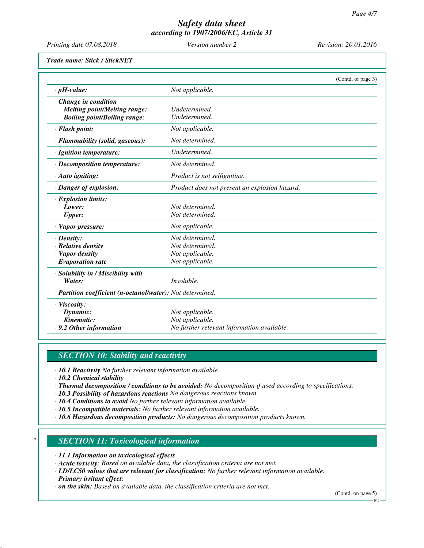*Printing date 07.08.2018 Version number 2 Revision: 20.01.2016*

*Trade name: Stick / StickNET*

|                                                            |                                               | (Contd. of page 3) |
|------------------------------------------------------------|-----------------------------------------------|--------------------|
| $\cdot$ pH-value:                                          | Not applicable.                               |                    |
| $\cdot$ Change in condition                                |                                               |                    |
| <b>Melting point/Melting range:</b>                        | Undetermined.                                 |                    |
| <b>Boiling point/Boiling range:</b>                        | Undetermined.                                 |                    |
| · Flash point:                                             | Not applicable.                               |                    |
| · Flammability (solid, gaseous):                           | Not determined.                               |                    |
| · Ignition temperature:                                    | Undetermined.                                 |                    |
| $\cdot$ Decomposition temperature:                         | Not determined.                               |                    |
| $\cdot$ Auto igniting:                                     | Product is not selfigniting.                  |                    |
| · Danger of explosion:                                     | Product does not present an explosion hazard. |                    |
| $\cdot$ Explosion limits:                                  |                                               |                    |
| Lower:                                                     | Not determined.                               |                    |
| Upper:                                                     | Not determined.                               |                    |
| $\cdot$ Vapor pressure:                                    | Not applicable.                               |                    |
| $\cdot$ Density:                                           | Not determined.                               |                    |
| $\cdot$ Relative density                                   | Not determined.                               |                    |
| · Vapor density                                            | Not applicable.                               |                    |
| $\cdot$ Evaporation rate                                   | Not applicable.                               |                    |
| · Solubility in / Miscibility with                         |                                               |                    |
| Water:                                                     | <i>Insoluble.</i>                             |                    |
| · Partition coefficient (n-octanol/water): Not determined. |                                               |                    |
| $\cdot$ Viscosity:                                         |                                               |                    |
| Dynamic:                                                   | Not applicable.                               |                    |
| Kinematic:                                                 | Not applicable.                               |                    |
| .9.2 Other information                                     | No further relevant information available.    |                    |

# *SECTION 10: Stability and reactivity*

*· 10.1 Reactivity No further relevant information available.*

*· 10.2 Chemical stability*

- *· Thermal decomposition / conditions to be avoided: No decomposition if used according to specifications.*
- *· 10.3 Possibility of hazardous reactions No dangerous reactions known.*
- *· 10.4 Conditions to avoid No further relevant information available.*
- *· 10.5 Incompatible materials: No further relevant information available.*
- *· 10.6 Hazardous decomposition products: No dangerous decomposition products known.*

### *\* SECTION 11: Toxicological information*

- *· 11.1 Information on toxicological effects*
- *· Acute toxicity: Based on available data, the classification criteria are not met.*
- *· LD/LC50 values that are relevant for classification: No further relevant information available.*
- *· Primary irritant effect:*
- *· on the skin: Based on available data, the classification criteria are not met.*

(Contd. on page 5) EU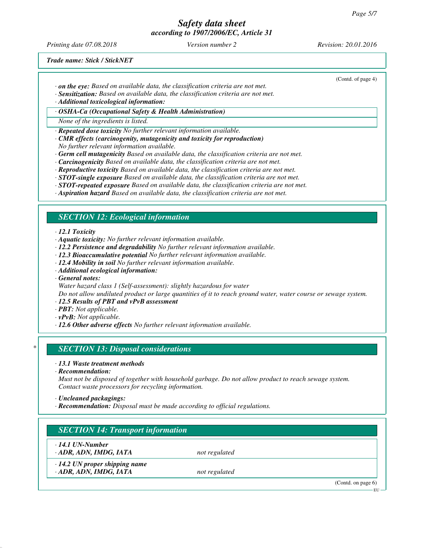*Printing date 07.08.2018 Version number 2 Revision: 20.01.2016*

(Contd. of page 4)

*Trade name: Stick / StickNET*

- *· on the eye: Based on available data, the classification criteria are not met.*
- *· Sensitization: Based on available data, the classification criteria are not met.*

*· Additional toxicological information:*

*· OSHA-Ca (Occupational Safety & Health Administration)*

*None of the ingredients is listed.*

*· Repeated dose toxicity No further relevant information available.*

- *· CMR effects (carcinogenity, mutagenicity and toxicity for reproduction) No further relevant information available.*
- *· Germ cell mutagenicity Based on available data, the classification criteria are not met.*
- *· Carcinogenicity Based on available data, the classification criteria are not met.*
- *· Reproductive toxicity Based on available data, the classification criteria are not met.*
- *· STOT-single exposure Based on available data, the classification criteria are not met.*
- *· STOT-repeated exposure Based on available data, the classification criteria are not met.*
- *· Aspiration hazard Based on available data, the classification criteria are not met.*

### *SECTION 12: Ecological information*

*· 12.1 Toxicity*

- *· Aquatic toxicity: No further relevant information available.*
- *· 12.2 Persistence and degradability No further relevant information available.*
- *· 12.3 Bioaccumulative potential No further relevant information available.*
- *· 12.4 Mobility in soil No further relevant information available.*
- *· Additional ecological information:*

*· General notes:*

*Water hazard class 1 (Self-assessment): slightly hazardous for water*

*Do not allow undiluted product or large quantities of it to reach ground water, water course or sewage system.*

- *· 12.5 Results of PBT and vPvB assessment*
- *· PBT: Not applicable.*
- *· vPvB: Not applicable.*
- *· 12.6 Other adverse effects No further relevant information available.*

### *\* SECTION 13: Disposal considerations*

- *· 13.1 Waste treatment methods*
- *· Recommendation:*

*Must not be disposed of together with household garbage. Do not allow product to reach sewage system. Contact waste processors for recycling information.*

*· Uncleaned packagings:*

*· Recommendation: Disposal must be made according to official regulations.*

# *SECTION 14: Transport information*

*· 14.1 UN-Number*

*· ADR, ADN, IMDG, IATA not regulated*

*· 14.2 UN proper shipping name · ADR, ADN, IMDG, IATA not regulated*

(Contd. on page 6)

EU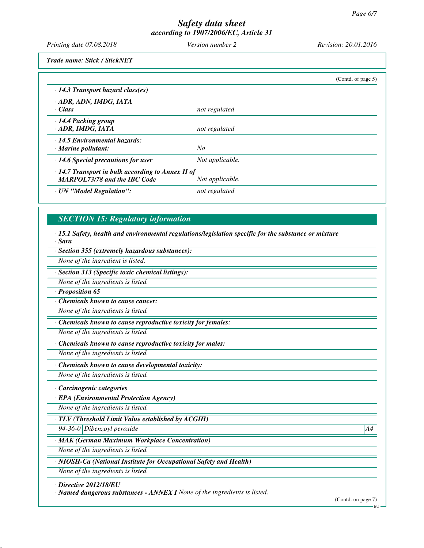*Printing date 07.08.2018 Version number 2 Revision: 20.01.2016*

*Trade name: Stick / StickNET*

|                                                                                                                   |                 | (Contd. of page $5$ ) |
|-------------------------------------------------------------------------------------------------------------------|-----------------|-----------------------|
| $\cdot$ 14.3 Transport hazard class(es)                                                                           |                 |                       |
| · ADR, ADN, IMDG, IATA<br>· Class                                                                                 | not regulated   |                       |
| $\cdot$ 14.4 Packing group<br>· ADR, IMDG, IATA                                                                   | not regulated   |                       |
| $\cdot$ 14.5 Environmental hazards:<br>$\cdot$ Marine pollutant:                                                  | No              |                       |
| $\cdot$ 14.6 Special precautions for user                                                                         | Not applicable. |                       |
| $\cdot$ 14.7 Transport in bulk according to Annex II of<br><b>MARPOL73/78 and the IBC Code</b><br>Not applicable. |                 |                       |
| · UN "Model Regulation":                                                                                          | not regulated   |                       |

# *SECTION 15: Regulatory information*

*· 15.1 Safety, health and environmental regulations/legislation specific for the substance or mixture · Sara*

*· Section 355 (extremely hazardous substances):*

*None of the ingredient is listed.*

*· Section 313 (Specific toxic chemical listings):*

*None of the ingredients is listed.*

*· Proposition 65*

*· Chemicals known to cause cancer:*

*None of the ingredients is listed.*

*· Chemicals known to cause reproductive toxicity for females:*

*None of the ingredients is listed.*

*· Chemicals known to cause reproductive toxicity for males:*

*None of the ingredients is listed.*

*· Chemicals known to cause developmental toxicity:*

*None of the ingredients is listed.*

*· Carcinogenic categories*

*· EPA (Environmental Protection Agency)*

*None of the ingredients is listed.*

*· TLV (Threshold Limit Value established by ACGIH)*

*94-36-0 Dibenzoyl peroxide A4*

*· MAK (German Maximum Workplace Concentration)*

*None of the ingredients is listed.*

*· NIOSH-Ca (National Institute for Occupational Safety and Health)*

*None of the ingredients is listed.*

*· Directive 2012/18/EU*

*· Named dangerous substances - ANNEX I None of the ingredients is listed.*

(Contd. on page 7)

EU